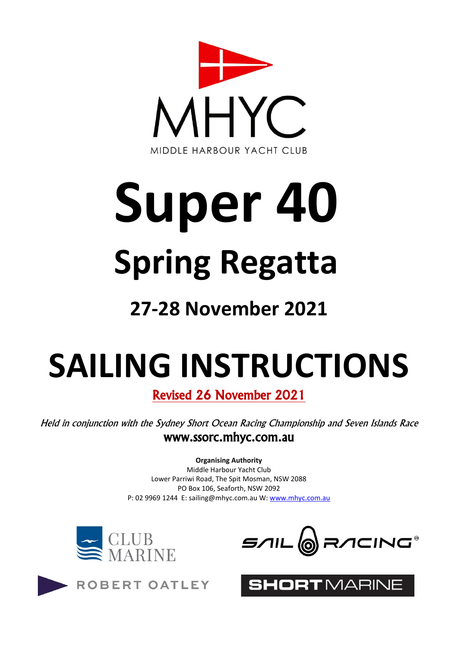

# **Super 40 Spring Regatta**

## **27-28 November 2021**

## **SAILING INSTRUCTIONS**

Revised 26 November 2021

Held in conjunction with the Sydney Short Ocean Racing Championship and Seven Islands Race www.ssorc.mhyc.com.au

**Organising Authority**

Middle Harbour Yacht Club Lower Parriwi Road, The Spit Mosman, NSW 2088 PO Box 106, Seaforth, NSW 2092 P: 02 9969 1244 E: sailing@mhyc.com.au W: [www.mhyc.com.au](http://www.mhyc.com.au/)



ROBERT OATLEY



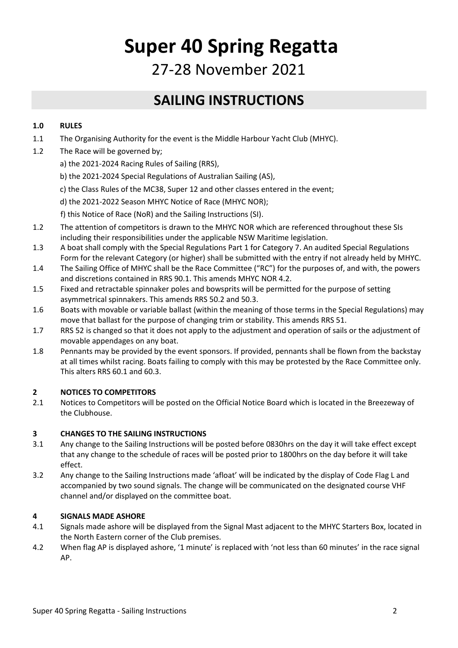### **Super 40 Spring Regatta**

27-28 November 2021

#### **SAILING INSTRUCTIONS**

#### **1.0 RULES**

- 1.1 The Organising Authority for the event is the Middle Harbour Yacht Club (MHYC).
- 1.2 The Race will be governed by;
	- a) the 2021-2024 Racing Rules of Sailing (RRS),
	- b) the 2021-2024 Special Regulations of Australian Sailing (AS),
	- c) the Class Rules of the MC38, Super 12 and other classes entered in the event;
	- d) the 2021-2022 Season MHYC Notice of Race (MHYC NOR);
	- f) this Notice of Race (NoR) and the Sailing Instructions (SI).
- 1.2 The attention of competitors is drawn to the MHYC NOR which are referenced throughout these SIs including their responsibilities under the applicable NSW Maritime legislation.
- 1.3 A boat shall comply with the Special Regulations Part 1 for Category 7. An audited Special Regulations Form for the relevant Category (or higher) shall be submitted with the entry if not already held by MHYC.
- 1.4 The Sailing Office of MHYC shall be the Race Committee ("RC") for the purposes of, and with, the powers and discretions contained in RRS 90.1. This amends MHYC NOR 4.2.
- 1.5 Fixed and retractable spinnaker poles and bowsprits will be permitted for the purpose of setting asymmetrical spinnakers. This amends RRS 50.2 and 50.3.
- 1.6 Boats with movable or variable ballast (within the meaning of those terms in the Special Regulations) may move that ballast for the purpose of changing trim or stability. This amends RRS 51.
- 1.7 RRS 52 is changed so that it does not apply to the adjustment and operation of sails or the adjustment of movable appendages on any boat.
- 1.8 Pennants may be provided by the event sponsors. If provided, pennants shall be flown from the backstay at all times whilst racing. Boats failing to comply with this may be protested by the Race Committee only. This alters RRS 60.1 and 60.3.

#### **2 NOTICES TO COMPETITORS**

2.1 Notices to Competitors will be posted on the Official Notice Board which is located in the Breezeway of the Clubhouse.

#### **3 CHANGES TO THE SAILING INSTRUCTIONS**

- 3.1 Any change to the Sailing Instructions will be posted before 0830hrs on the day it will take effect except that any change to the schedule of races will be posted prior to 1800hrs on the day before it will take effect.
- 3.2 Any change to the Sailing Instructions made 'afloat' will be indicated by the display of Code Flag L and accompanied by two sound signals. The change will be communicated on the designated course VHF channel and/or displayed on the committee boat.

#### **4 SIGNALS MADE ASHORE**

- 4.1 Signals made ashore will be displayed from the Signal Mast adjacent to the MHYC Starters Box, located in the North Eastern corner of the Club premises.
- 4.2 When flag AP is displayed ashore, '1 minute' is replaced with 'not less than 60 minutes' in the race signal AP.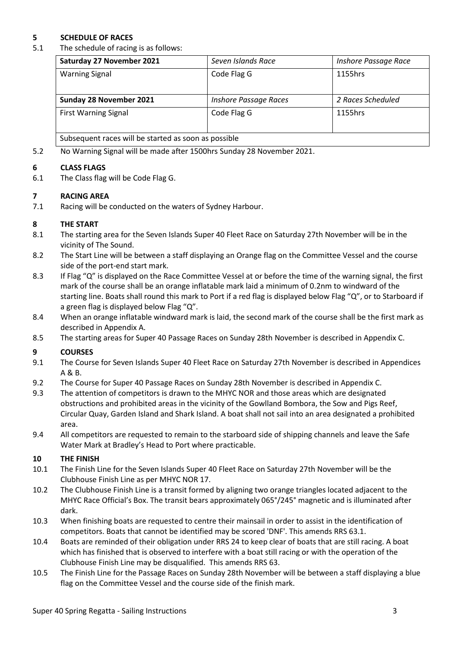#### **5 SCHEDULE OF RACES**

5.1 The schedule of racing is as follows:

| Saturday 27 November 2021                            | Seven Islands Race           | Inshore Passage Race |
|------------------------------------------------------|------------------------------|----------------------|
| <b>Warning Signal</b>                                | Code Flag G                  | 1155hrs              |
| Sunday 28 November 2021                              | <b>Inshore Passage Races</b> | 2 Races Scheduled    |
| <b>First Warning Signal</b>                          | Code Flag G                  | 1155hrs              |
| Subsequent races will be started as soon as possible |                              |                      |

5.2 No Warning Signal will be made after 1500hrs Sunday 28 November 2021.

#### **6 CLASS FLAGS**

6.1 The Class flag will be Code Flag G.

#### **7 RACING AREA**

7.1 Racing will be conducted on the waters of Sydney Harbour.

#### **8 THE START**

- 8.1 The starting area for the Seven Islands Super 40 Fleet Race on Saturday 27th November will be in the vicinity of The Sound.
- 8.2 The Start Line will be between a staff displaying an Orange flag on the Committee Vessel and the course side of the port-end start mark.
- 8.3 If Flag "Q" is displayed on the Race Committee Vessel at or before the time of the warning signal, the first mark of the course shall be an orange inflatable mark laid a minimum of 0.2nm to windward of the starting line. Boats shall round this mark to Port if a red flag is displayed below Flag "Q", or to Starboard if a green flag is displayed below Flag "Q".
- 8.4 When an orange inflatable windward mark is laid, the second mark of the course shall be the first mark as described in Appendix A.
- 8.5 The starting areas for Super 40 Passage Races on Sunday 28th November is described in Appendix C.

#### **9 COURSES**

- 9.1 The Course for Seven Islands Super 40 Fleet Race on Saturday 27th November is described in Appendices A & B.
- 9.2 The Course for Super 40 Passage Races on Sunday 28th November is described in Appendix C.
- 9.3 The attention of competitors is drawn to the MHYC NOR and those areas which are designated obstructions and prohibited areas in the vicinity of the Gowlland Bombora, the Sow and Pigs Reef, Circular Quay, Garden Island and Shark Island. A boat shall not sail into an area designated a prohibited area.
- 9.4 All competitors are requested to remain to the starboard side of shipping channels and leave the Safe Water Mark at Bradley's Head to Port where practicable.

#### **10 THE FINISH**

- 10.1 The Finish Line for the Seven Islands Super 40 Fleet Race on Saturday 27th November will be the Clubhouse Finish Line as per MHYC NOR 17.
- 10.2 The Clubhouse Finish Line is a transit formed by aligning two orange triangles located adjacent to the MHYC Race Official's Box. The transit bears approximately 065°/245° magnetic and is illuminated after dark.
- 10.3 When finishing boats are requested to centre their mainsail in order to assist in the identification of competitors. Boats that cannot be identified may be scored 'DNF'. This amends RRS 63.1.
- 10.4 Boats are reminded of their obligation under RRS 24 to keep clear of boats that are still racing. A boat which has finished that is observed to interfere with a boat still racing or with the operation of the Clubhouse Finish Line may be disqualified. This amends RRS 63.
- 10.5 The Finish Line for the Passage Races on Sunday 28th November will be between a staff displaying a blue flag on the Committee Vessel and the course side of the finish mark.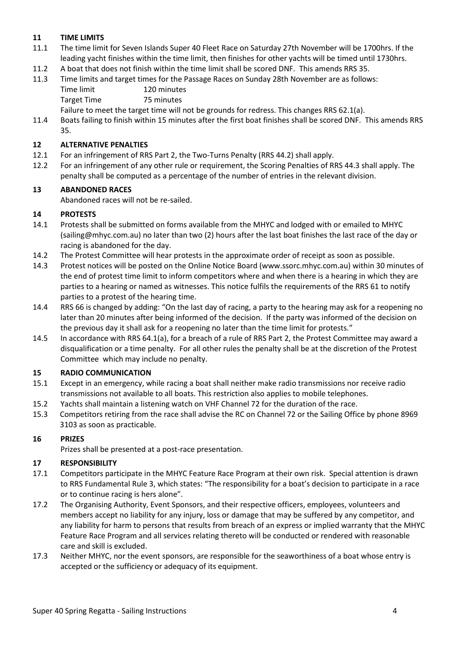#### **11 TIME LIMITS**

- 11.1 The time limit for Seven Islands Super 40 Fleet Race on Saturday 27th November will be 1700hrs. If the leading yacht finishes within the time limit, then finishes for other yachts will be timed until 1730hrs.
- 11.2 A boat that does not finish within the time limit shall be scored DNF. This amends RRS 35.
- 11.3 Time limits and target times for the Passage Races on Sunday 28th November are as follows:
	- Time limit 120 minutes

Target Time 75 minutes

Failure to meet the target time will not be grounds for redress. This changes RRS 62.1(a).

11.4 Boats failing to finish within 15 minutes after the first boat finishes shall be scored DNF. This amends RRS 35.

#### **12 ALTERNATIVE PENALTIES**

- 12.1 For an infringement of RRS Part 2, the Two-Turns Penalty (RRS 44.2) shall apply.
- 12.2 For an infringement of any other rule or requirement, the Scoring Penalties of RRS 44.3 shall apply. The penalty shall be computed as a percentage of the number of entries in the relevant division.

#### **13 ABANDONED RACES**

Abandoned races will not be re-sailed.

#### **14 PROTESTS**

- 14.1 Protests shall be submitted on forms available from the MHYC and lodged with or emailed to MHYC (sailing@mhyc.com.au) no later than two (2) hours after the last boat finishes the last race of the day or racing is abandoned for the day.
- 14.2 The Protest Committee will hear protests in the approximate order of receipt as soon as possible.
- 14.3 Protest notices will be posted on the Online Notice Board (www.ssorc.mhyc.com.au) within 30 minutes of the end of protest time limit to inform competitors where and when there is a hearing in which they are parties to a hearing or named as witnesses. This notice fulfils the requirements of the RRS 61 to notify parties to a protest of the hearing time.
- 14.4 RRS 66 is changed by adding: "On the last day of racing, a party to the hearing may ask for a reopening no later than 20 minutes after being informed of the decision. If the party was informed of the decision on the previous day it shall ask for a reopening no later than the time limit for protests."
- 14.5 In accordance with RRS 64.1(a), for a breach of a rule of RRS Part 2, the Protest Committee may award a disqualification or a time penalty. For all other rules the penalty shall be at the discretion of the Protest Committee which may include no penalty.

#### **15 RADIO COMMUNICATION**

- 15.1 Except in an emergency, while racing a boat shall neither make radio transmissions nor receive radio transmissions not available to all boats. This restriction also applies to mobile telephones.
- 15.2 Yachts shall maintain a listening watch on VHF Channel 72 for the duration of the race.
- 15.3 Competitors retiring from the race shall advise the RC on Channel 72 or the Sailing Office by phone 8969 3103 as soon as practicable.

#### **16 PRIZES**

Prizes shall be presented at a post-race presentation.

#### **17 RESPONSIBILITY**

- 17.1 Competitors participate in the MHYC Feature Race Program at their own risk. Special attention is drawn to RRS Fundamental Rule 3, which states: "The responsibility for a boat's decision to participate in a race or to continue racing is hers alone".
- 17.2 The Organising Authority, Event Sponsors, and their respective officers, employees, volunteers and members accept no liability for any injury, loss or damage that may be suffered by any competitor, and any liability for harm to persons that results from breach of an express or implied warranty that the MHYC Feature Race Program and all services relating thereto will be conducted or rendered with reasonable care and skill is excluded.
- 17.3 Neither MHYC, nor the event sponsors, are responsible for the seaworthiness of a boat whose entry is accepted or the sufficiency or adequacy of its equipment.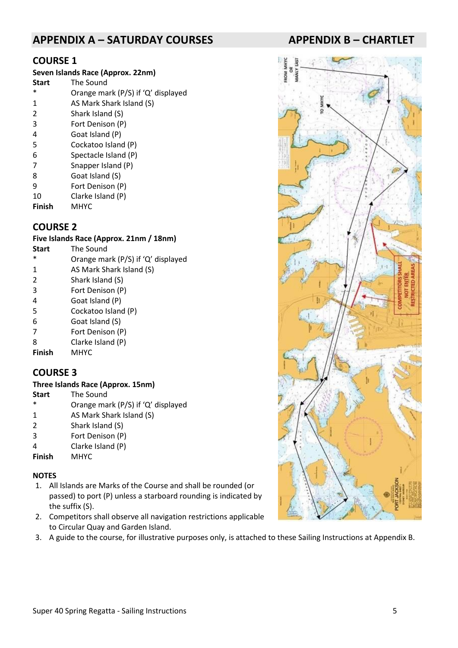#### **APPENDIX A – SATURDAY COURSES APPENDIX B – CHARTLET**

#### **COURSE 1**

| Seven Islands Race (Approx. 22nm) |                                    |  |  |
|-----------------------------------|------------------------------------|--|--|
| <b>Start</b>                      | The Sound                          |  |  |
| $\ast$                            | Orange mark (P/S) if 'Q' displayed |  |  |
| 1                                 | AS Mark Shark Island (S)           |  |  |
| 2                                 | Shark Island (S)                   |  |  |
| 3                                 | Fort Denison (P)                   |  |  |
| 4                                 | Goat Island (P)                    |  |  |
| 5                                 | Cockatoo Island (P)                |  |  |
| 6                                 | Spectacle Island (P)               |  |  |
| 7                                 | Snapper Island (P)                 |  |  |
| 8                                 | Goat Island (S)                    |  |  |
| 9                                 | Fort Denison (P)                   |  |  |
| 10                                | Clarke Island (P)                  |  |  |
| <b>Finish</b>                     | <b>MHYC</b>                        |  |  |

#### **COURSE 2**

#### **Five Islands Race (Approx. 21nm / 18nm)**

- **Start** The Sound Orange mark (P/S) if 'Q' displayed
- 1 AS Mark Shark Island (S)
- 2 Shark Island (S)
- 3 Fort Denison (P)
- 4 Goat Island (P)
- 5 Cockatoo Island (P)
- 6 Goat Island (S)
- 7 Fort Denison (P)
- 8 Clarke Island (P)
- **Finish** MHYC

#### **COURSE 3**

#### **Three Islands Race (Approx. 15nm)**

- **Start** The Sound
- \* Orange mark (P/S) if 'Q' displayed
- 1 AS Mark Shark Island (S)
- 2 Shark Island (S)<br>3 Fort Denison (P
- Fort Denison (P)
- 4 Clarke Island (P)
- **Finish** MHYC

#### **NOTES**

- 1. All Islands are Marks of the Course and shall be rounded (or passed) to port (P) unless a starboard rounding is indicated by the suffix (S).
- 2. Competitors shall observe all navigation restrictions applicable to Circular Quay and Garden Island.
- 3. A guide to the course, for illustrative purposes only, is attached to these Sailing Instructions at Appendix B.

# S  $\tilde{a}$